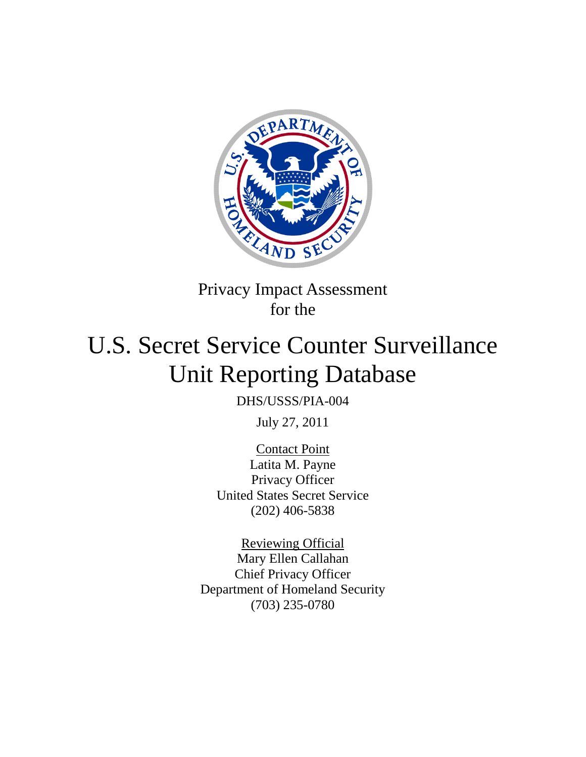

Privacy Impact Assessment for the

# U.S. Secret Service Counter Surveillance Unit Reporting Database

DHS/USSS/PIA-004

July 27, 2011

Contact Point Latita M. Payne Privacy Officer United States Secret Service (202) 406-5838

Reviewing Official Mary Ellen Callahan Chief Privacy Officer Department of Homeland Security (703) 235-0780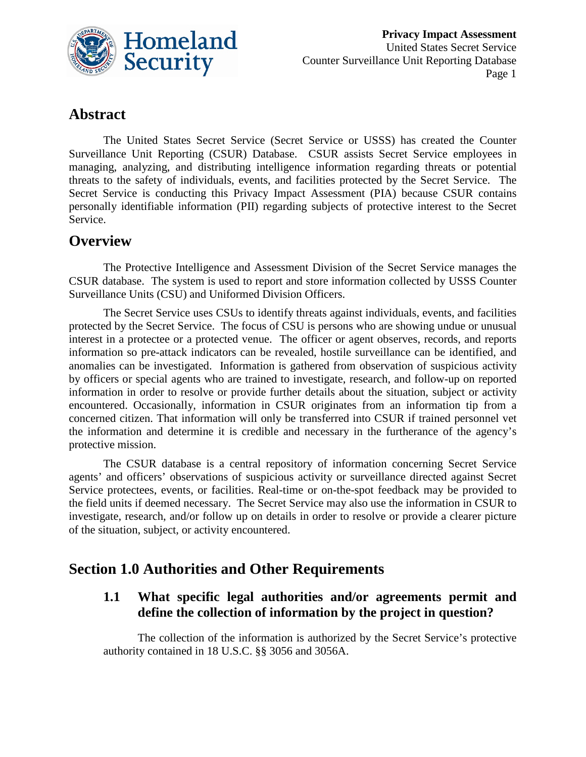

# **Abstract**

The United States Secret Service (Secret Service or USSS) has created the Counter Surveillance Unit Reporting (CSUR) Database. CSUR assists Secret Service employees in managing, analyzing, and distributing intelligence information regarding threats or potential threats to the safety of individuals, events, and facilities protected by the Secret Service. The Secret Service is conducting this Privacy Impact Assessment (PIA) because CSUR contains personally identifiable information (PII) regarding subjects of protective interest to the Secret Service.

# **Overview**

The Protective Intelligence and Assessment Division of the Secret Service manages the CSUR database. The system is used to report and store information collected by USSS Counter Surveillance Units (CSU) and Uniformed Division Officers.

The Secret Service uses CSUs to identify threats against individuals, events, and facilities protected by the Secret Service. The focus of CSU is persons who are showing undue or unusual interest in a protectee or a protected venue. The officer or agent observes, records, and reports information so pre-attack indicators can be revealed, hostile surveillance can be identified, and anomalies can be investigated. Information is gathered from observation of suspicious activity by officers or special agents who are trained to investigate, research, and follow-up on reported information in order to resolve or provide further details about the situation, subject or activity encountered. Occasionally, information in CSUR originates from an information tip from a concerned citizen. That information will only be transferred into CSUR if trained personnel vet the information and determine it is credible and necessary in the furtherance of the agency's protective mission.

The CSUR database is a central repository of information concerning Secret Service agents' and officers' observations of suspicious activity or surveillance directed against Secret Service protectees, events, or facilities. Real-time or on-the-spot feedback may be provided to the field units if deemed necessary. The Secret Service may also use the information in CSUR to investigate, research, and/or follow up on details in order to resolve or provide a clearer picture of the situation, subject, or activity encountered.

# **Section 1.0 Authorities and Other Requirements**

#### **1.1 What specific legal authorities and/or agreements permit and define the collection of information by the project in question?**

The collection of the information is authorized by the Secret Service's protective authority contained in 18 U.S.C. §§ 3056 and 3056A.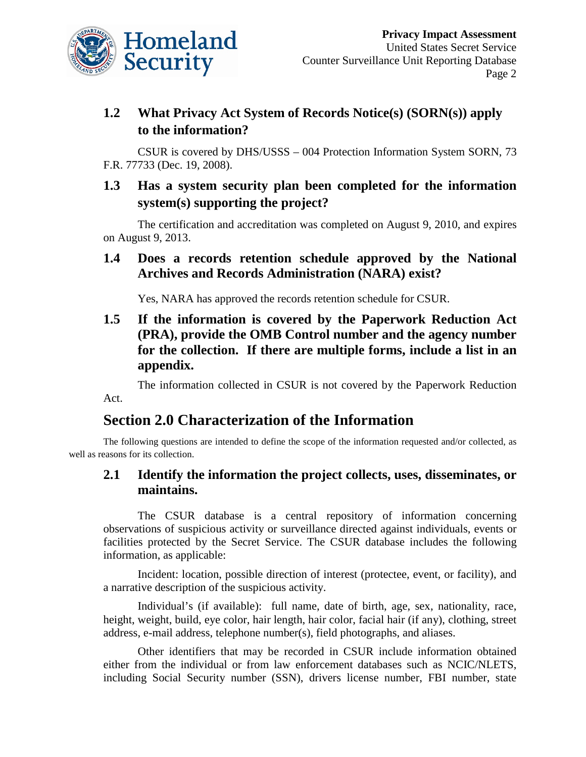

# **1.2 What Privacy Act System of Records Notice(s) (SORN(s)) apply to the information?**

CSUR is covered by DHS/USSS – 004 Protection Information System SORN, 73 F.R. 77733 (Dec. 19, 2008).

# **1.3 Has a system security plan been completed for the information system(s) supporting the project?**

The certification and accreditation was completed on August 9, 2010, and expires on August 9, 2013.

## **1.4 Does a records retention schedule approved by the National Archives and Records Administration (NARA) exist?**

Yes, NARA has approved the records retention schedule for CSUR.

# **1.5 If the information is covered by the Paperwork Reduction Act (PRA), provide the OMB Control number and the agency number for the collection. If there are multiple forms, include a list in an appendix.**

The information collected in CSUR is not covered by the Paperwork Reduction Act.

# **Section 2.0 Characterization of the Information**

The following questions are intended to define the scope of the information requested and/or collected, as well as reasons for its collection.

# **2.1 Identify the information the project collects, uses, disseminates, or maintains.**

The CSUR database is a central repository of information concerning observations of suspicious activity or surveillance directed against individuals, events or facilities protected by the Secret Service. The CSUR database includes the following information, as applicable:

Incident: location, possible direction of interest (protectee, event, or facility), and a narrative description of the suspicious activity.

Individual's (if available): full name, date of birth, age, sex, nationality, race, height, weight, build, eye color, hair length, hair color, facial hair (if any), clothing, street address, e-mail address, telephone number(s), field photographs, and aliases.

Other identifiers that may be recorded in CSUR include information obtained either from the individual or from law enforcement databases such as NCIC/NLETS, including Social Security number (SSN), drivers license number, FBI number, state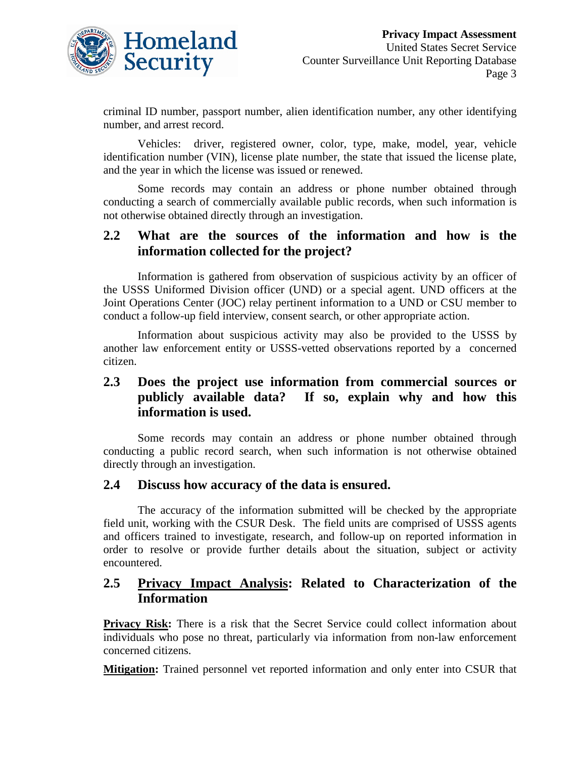

criminal ID number, passport number, alien identification number, any other identifying number, and arrest record.

Vehicles: driver, registered owner, color, type, make, model, year, vehicle identification number (VIN), license plate number, the state that issued the license plate, and the year in which the license was issued or renewed.

Some records may contain an address or phone number obtained through conducting a search of commercially available public records, when such information is not otherwise obtained directly through an investigation.

#### **2.2 What are the sources of the information and how is the information collected for the project?**

Information is gathered from observation of suspicious activity by an officer of the USSS Uniformed Division officer (UND) or a special agent. UND officers at the Joint Operations Center (JOC) relay pertinent information to a UND or CSU member to conduct a follow-up field interview, consent search, or other appropriate action.

Information about suspicious activity may also be provided to the USSS by another law enforcement entity or USSS-vetted observations reported by a concerned citizen.

## **2.3 Does the project use information from commercial sources or publicly available data? If so, explain why and how this information is used.**

Some records may contain an address or phone number obtained through conducting a public record search, when such information is not otherwise obtained directly through an investigation.

#### **2.4 Discuss how accuracy of the data is ensured.**

The accuracy of the information submitted will be checked by the appropriate field unit, working with the CSUR Desk. The field units are comprised of USSS agents and officers trained to investigate, research, and follow-up on reported information in order to resolve or provide further details about the situation, subject or activity encountered.

#### **2.5 Privacy Impact Analysis: Related to Characterization of the Information**

**Privacy Risk:** There is a risk that the Secret Service could collect information about individuals who pose no threat, particularly via information from non-law enforcement concerned citizens.

**Mitigation:** Trained personnel vet reported information and only enter into CSUR that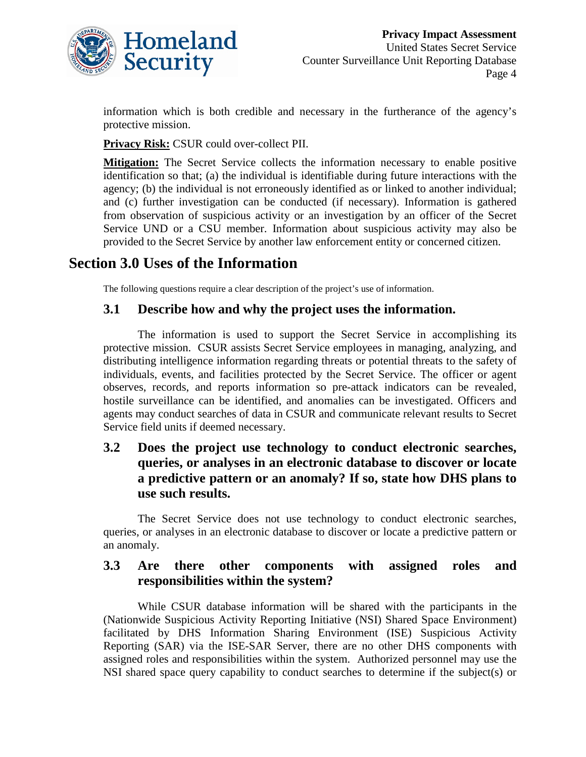

information which is both credible and necessary in the furtherance of the agency's protective mission.

**Privacy Risk:** CSUR could over-collect PII.

**Mitigation:** The Secret Service collects the information necessary to enable positive identification so that; (a) the individual is identifiable during future interactions with the agency; (b) the individual is not erroneously identified as or linked to another individual; and (c) further investigation can be conducted (if necessary). Information is gathered from observation of suspicious activity or an investigation by an officer of the Secret Service UND or a CSU member. Information about suspicious activity may also be provided to the Secret Service by another law enforcement entity or concerned citizen.

# **Section 3.0 Uses of the Information**

The following questions require a clear description of the project's use of information.

#### **3.1 Describe how and why the project uses the information.**

The information is used to support the Secret Service in accomplishing its protective mission. CSUR assists Secret Service employees in managing, analyzing, and distributing intelligence information regarding threats or potential threats to the safety of individuals, events, and facilities protected by the Secret Service. The officer or agent observes, records, and reports information so pre-attack indicators can be revealed, hostile surveillance can be identified, and anomalies can be investigated. Officers and agents may conduct searches of data in CSUR and communicate relevant results to Secret Service field units if deemed necessary.

## **3.2 Does the project use technology to conduct electronic searches, queries, or analyses in an electronic database to discover or locate a predictive pattern or an anomaly? If so, state how DHS plans to use such results.**

The Secret Service does not use technology to conduct electronic searches, queries, or analyses in an electronic database to discover or locate a predictive pattern or an anomaly.

#### **3.3 Are there other components with assigned roles and responsibilities within the system?**

While CSUR database information will be shared with the participants in the (Nationwide Suspicious Activity Reporting Initiative (NSI) Shared Space Environment) facilitated by DHS Information Sharing Environment (ISE) Suspicious Activity Reporting (SAR) via the ISE-SAR Server, there are no other DHS components with assigned roles and responsibilities within the system. Authorized personnel may use the NSI shared space query capability to conduct searches to determine if the subject(s) or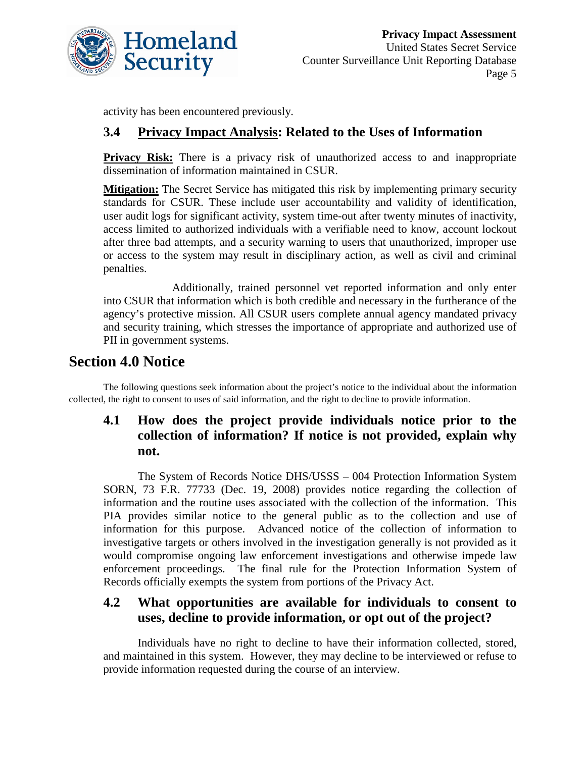

activity has been encountered previously.

# **3.4 Privacy Impact Analysis: Related to the Uses of Information**

**Privacy Risk:** There is a privacy risk of unauthorized access to and inappropriate dissemination of information maintained in CSUR.

**Mitigation:** The Secret Service has mitigated this risk by implementing primary security standards for CSUR. These include user accountability and validity of identification, user audit logs for significant activity, system time-out after twenty minutes of inactivity, access limited to authorized individuals with a verifiable need to know, account lockout after three bad attempts, and a security warning to users that unauthorized, improper use or access to the system may result in disciplinary action, as well as civil and criminal penalties.

Additionally, trained personnel vet reported information and only enter into CSUR that information which is both credible and necessary in the furtherance of the agency's protective mission. All CSUR users complete annual agency mandated privacy and security training, which stresses the importance of appropriate and authorized use of PII in government systems.

# **Section 4.0 Notice**

The following questions seek information about the project's notice to the individual about the information collected, the right to consent to uses of said information, and the right to decline to provide information.

# **4.1 How does the project provide individuals notice prior to the collection of information? If notice is not provided, explain why not.**

The System of Records Notice DHS/USSS – 004 Protection Information System SORN, 73 F.R. 77733 (Dec. 19, 2008) provides notice regarding the collection of information and the routine uses associated with the collection of the information. This PIA provides similar notice to the general public as to the collection and use of information for this purpose. Advanced notice of the collection of information to investigative targets or others involved in the investigation generally is not provided as it would compromise ongoing law enforcement investigations and otherwise impede law enforcement proceedings. The final rule for the Protection Information System of Records officially exempts the system from portions of the Privacy Act.

# **4.2 What opportunities are available for individuals to consent to uses, decline to provide information, or opt out of the project?**

Individuals have no right to decline to have their information collected, stored, and maintained in this system. However, they may decline to be interviewed or refuse to provide information requested during the course of an interview.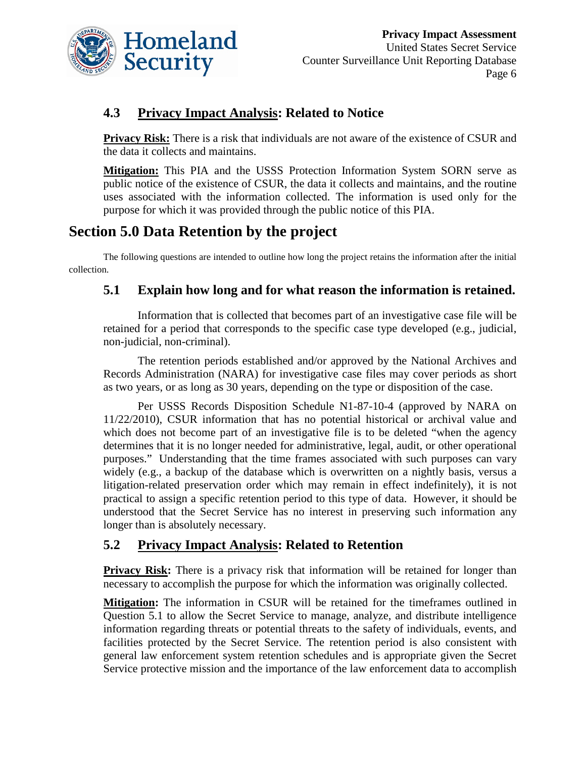

# **4.3 Privacy Impact Analysis: Related to Notice**

**Privacy Risk:** There is a risk that individuals are not aware of the existence of CSUR and the data it collects and maintains.

**Mitigation:** This PIA and the USSS Protection Information System SORN serve as public notice of the existence of CSUR, the data it collects and maintains, and the routine uses associated with the information collected. The information is used only for the purpose for which it was provided through the public notice of this PIA.

# **Section 5.0 Data Retention by the project**

The following questions are intended to outline how long the project retains the information after the initial collection.

## **5.1 Explain how long and for what reason the information is retained.**

Information that is collected that becomes part of an investigative case file will be retained for a period that corresponds to the specific case type developed (e.g., judicial, non-judicial, non-criminal).

The retention periods established and/or approved by the National Archives and Records Administration (NARA) for investigative case files may cover periods as short as two years, or as long as 30 years, depending on the type or disposition of the case.

Per USSS Records Disposition Schedule N1-87-10-4 (approved by NARA on 11/22/2010), CSUR information that has no potential historical or archival value and which does not become part of an investigative file is to be deleted "when the agency determines that it is no longer needed for administrative, legal, audit, or other operational purposes." Understanding that the time frames associated with such purposes can vary widely (e.g., a backup of the database which is overwritten on a nightly basis, versus a litigation-related preservation order which may remain in effect indefinitely), it is not practical to assign a specific retention period to this type of data. However, it should be understood that the Secret Service has no interest in preserving such information any longer than is absolutely necessary.

## **5.2 Privacy Impact Analysis: Related to Retention**

**Privacy Risk:** There is a privacy risk that information will be retained for longer than necessary to accomplish the purpose for which the information was originally collected.

**Mitigation:** The information in CSUR will be retained for the timeframes outlined in Question 5.1 to allow the Secret Service to manage, analyze, and distribute intelligence information regarding threats or potential threats to the safety of individuals, events, and facilities protected by the Secret Service. The retention period is also consistent with general law enforcement system retention schedules and is appropriate given the Secret Service protective mission and the importance of the law enforcement data to accomplish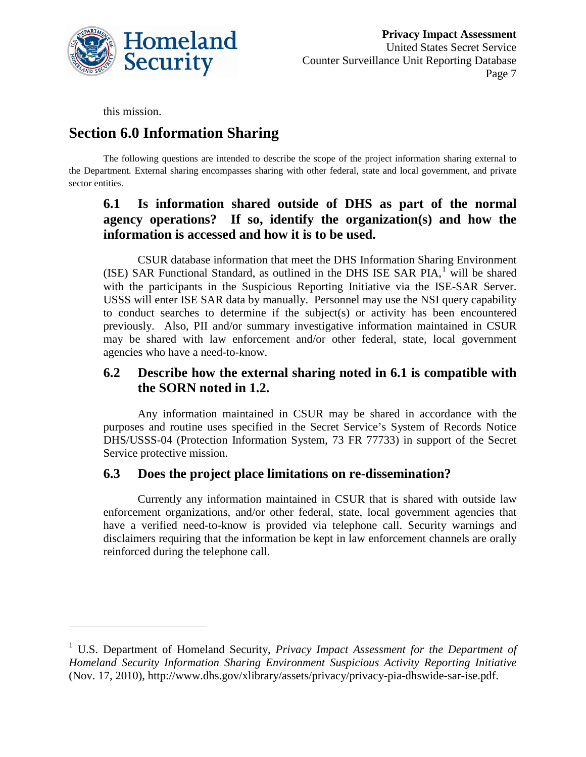

this mission.

 $\overline{a}$ 

# **Section 6.0 Information Sharing**

The following questions are intended to describe the scope of the project information sharing external to the Department. External sharing encompasses sharing with other federal, state and local government, and private sector entities.

# **6.1 Is information shared outside of DHS as part of the normal agency operations? If so, identify the organization(s) and how the information is accessed and how it is to be used.**

CSUR database information that meet the DHS Information Sharing Environment (ISE) SAR Functional Standard, as outlined in the DHS ISE SAR  $PIA$ , will be shared with the participants in the Suspicious Reporting Initiative via the ISE-SAR Server. USSS will enter ISE SAR data by manually. Personnel may use the NSI query capability to conduct searches to determine if the subject(s) or activity has been encountered previously. Also, PII and/or summary investigative information maintained in CSUR may be shared with law enforcement and/or other federal, state, local government agencies who have a need-to-know.

# **6.2 Describe how the external sharing noted in 6.1 is compatible with the SORN noted in 1.2.**

Any information maintained in CSUR may be shared in accordance with the purposes and routine uses specified in the Secret Service's System of Records Notice DHS/USSS-04 (Protection Information System, 73 FR 77733) in support of the Secret Service protective mission.

#### **6.3 Does the project place limitations on re-dissemination?**

Currently any information maintained in CSUR that is shared with outside law enforcement organizations, and/or other federal, state, local government agencies that have a verified need-to-know is provided via telephone call. Security warnings and disclaimers requiring that the information be kept in law enforcement channels are orally reinforced during the telephone call.

<span id="page-7-0"></span><sup>1</sup> U.S. Department of Homeland Security, *Privacy Impact Assessment for the Department of Homeland Security Information Sharing Environment Suspicious Activity Reporting Initiative* (Nov. 17, 2010), http://www.dhs.gov/xlibrary/assets/privacy/privacy-pia-dhswide-sar-ise.pdf.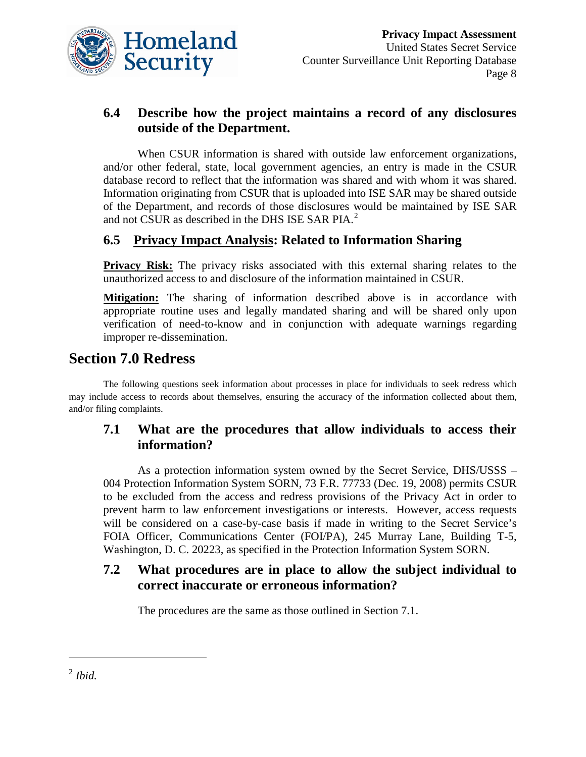

# **6.4 Describe how the project maintains a record of any disclosures outside of the Department.**

When CSUR information is shared with outside law enforcement organizations, and/or other federal, state, local government agencies, an entry is made in the CSUR database record to reflect that the information was shared and with whom it was shared. Information originating from CSUR that is uploaded into ISE SAR may be shared outside of the Department, and records of those disclosures would be maintained by ISE SAR and not CSUR as described in the DHS ISE SAR PIA.<sup>[2](#page-8-0)</sup>

# **6.5 Privacy Impact Analysis: Related to Information Sharing**

**Privacy Risk:** The privacy risks associated with this external sharing relates to the unauthorized access to and disclosure of the information maintained in CSUR.

**Mitigation:** The sharing of information described above is in accordance with appropriate routine uses and legally mandated sharing and will be shared only upon verification of need-to-know and in conjunction with adequate warnings regarding improper re-dissemination.

# **Section 7.0 Redress**

The following questions seek information about processes in place for individuals to seek redress which may include access to records about themselves, ensuring the accuracy of the information collected about them, and/or filing complaints.

# **7.1 What are the procedures that allow individuals to access their information?**

As a protection information system owned by the Secret Service, DHS/USSS – 004 Protection Information System SORN, 73 F.R. 77733 (Dec. 19, 2008) permits CSUR to be excluded from the access and redress provisions of the Privacy Act in order to prevent harm to law enforcement investigations or interests. However, access requests will be considered on a case-by-case basis if made in writing to the Secret Service's FOIA Officer, Communications Center (FOI/PA), 245 Murray Lane, Building T-5, Washington, D. C. 20223, as specified in the Protection Information System SORN.

# **7.2 What procedures are in place to allow the subject individual to correct inaccurate or erroneous information?**

The procedures are the same as those outlined in Section 7.1.

 $\overline{a}$ 

<span id="page-8-0"></span> $^{2}$ *Ibid.*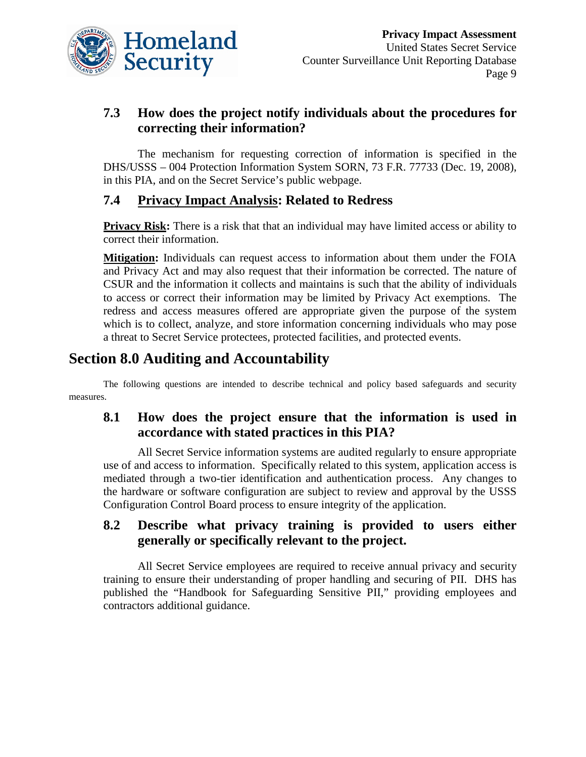

# **7.3 How does the project notify individuals about the procedures for correcting their information?**

The mechanism for requesting correction of information is specified in the DHS/USSS – 004 Protection Information System SORN, 73 F.R. 77733 (Dec. 19, 2008), in this PIA, and on the Secret Service's public webpage.

# **7.4 Privacy Impact Analysis: Related to Redress**

**Privacy Risk:** There is a risk that that an individual may have limited access or ability to correct their information.

**Mitigation:** Individuals can request access to information about them under the FOIA and Privacy Act and may also request that their information be corrected. The nature of CSUR and the information it collects and maintains is such that the ability of individuals to access or correct their information may be limited by Privacy Act exemptions. The redress and access measures offered are appropriate given the purpose of the system which is to collect, analyze, and store information concerning individuals who may pose a threat to Secret Service protectees, protected facilities, and protected events.

# **Section 8.0 Auditing and Accountability**

The following questions are intended to describe technical and policy based safeguards and security measures.

# **8.1 How does the project ensure that the information is used in accordance with stated practices in this PIA?**

All Secret Service information systems are audited regularly to ensure appropriate use of and access to information. Specifically related to this system, application access is mediated through a two-tier identification and authentication process. Any changes to the hardware or software configuration are subject to review and approval by the USSS Configuration Control Board process to ensure integrity of the application.

#### **8.2 Describe what privacy training is provided to users either generally or specifically relevant to the project.**

All Secret Service employees are required to receive annual privacy and security training to ensure their understanding of proper handling and securing of PII. DHS has published the "Handbook for Safeguarding Sensitive PII," providing employees and contractors additional guidance.